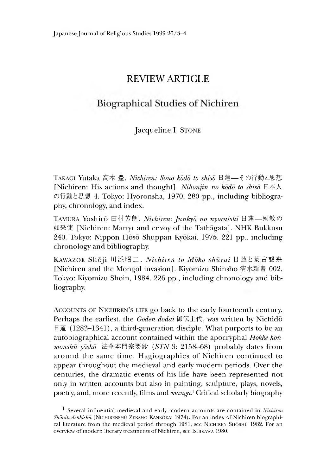## REVIEW ARTICLE

# **Biographical Studies of Nichiren**

### Jacqueline I. STONE

Takagi Yutaka 高木豊. *Nichiren: Sono kodo to shiso* 日蓮一その行動と思想 [Nichiren: His actions and thought]. *Nihonjin no kodo to shiso* 日本人 の行動と思想 4. Tokyo: Hyōronsha, 1970. 280 pp., including bibliography, chronology, and index.

TAMURA Yoshiro 田村芳朗. *Nichiren: Junkyo no nyoraishi* 日蓮––殉教の 如 来 使 [Nichiren: Martyr and envoy of the Tathagata]. NHK Bukkusu 240. Tokyo: Nippon Hoso Shuppan Kyokai, 1975. 221 pp., including chronology and bibliography.

Kawazoe Shoji 川添 昭 ニ . *Nichiren to Moko shurai* 日蓮と蒙古襲来 [Nichiren and the Mongol invasion]. Kiyomizu Shinsho 清水新書 002. Tokyo: Kiyomizu Shoin, 1984. 226 pp., including chronology and bibliography.

ACCOUNTS OF NICHIREN'S LIFE go back to the early fourteenth century. Perhaps the earliest, the *Goden dodai* 御伝土代, was written by Nichido 日道 (1283–1341), a third-generation disciple. What purports to be an autobiographical account contained within the apocryphal *Hokke honmonshu yosho* 法華本門宗要鈔*[STN* 3: 2158-68) probably dates from around the same time. Hagiographies of Nichiren continued to appear throughout the medieval and early modern periods. Over the centuries, the dramatic events of his life have been represented not only in written accounts but also in painting sculpture, plays, novels, poetry, and, more recently, films and *manga.1* Critical scholarly biography

<sup>1</sup> Several influential medieval and early modern accounts are contained in *Nichiren Shōnin denkishu* (NICHIRENSHU ZENSHO КАNКОКАІ 1974). For an index of Nichiren biographical literature from the medieval period through 1981, see NICHIREN SHOSHU 1982. For an overview of modern literary treatments of Nichiren, see Ishikawa 1980.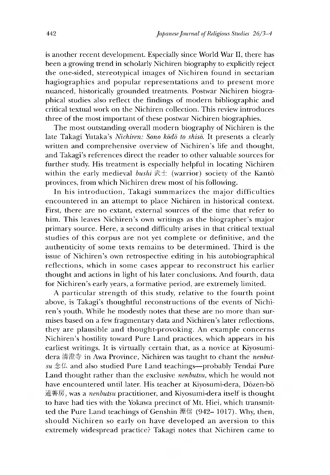is another recent development. Especially since World War II, there has been a growing trend in scholarly Nichiren biography to explicitly reject the one-sided, stereotypical images of Nichiren found in sectarian hagiographies and popular representations and to present more nuanced, historically grounded treatments. Postwar Nichiren biographical studies also reflect the findings of modern bibliographic and critical textual work on the Nichiren collection. This review introduces three of the most important of these postwar Nichiren biographies.

The most outstanding overall modern biography of Nichiren is the late Takagi Yutaka's *Nichiren: Sono kodo to shiso.* It presents a clearly written and comprehensive overview of Nichiren's life and thought, and Takagi's references direct the reader to other valuable sources for further study. His treatment is especially helpful in locating Nichiren within the early medieval *bushi* 武士 (warrior) society of the Kanto provinces, from which Nichiren drew most of his following.

In his introduction, Takagi summarizes the major difficulties encountered in an attempt to place Nichiren in historical context. First, there are no extant, external sources of the time that refer to him. This leaves Nichiren's own writings as the biographer's major primary source. Here, a second difficulty arises in that critical textual studies of this corpus are not yet complete or definitive, and the authenticity of some texts remains to be determined. Third is the issue of Nichiren's own retrospective editing in his autobiographical reflections, which in some cases appear to reconstruct his earlier thought and actions in light of his later conclusions. And fourth, data for Nichiren's early years, a formative period, are extremely limited.

A particular strength of this study, relative to the fourth point above, is Takagi's thoughtful reconstructions of the events of Nichiren's youth. While he modestly notes that these are no more than surmises based on a few fragmentary data and Nichiren's later reflections, they are plausible and thought-provoking. An example concerns Nichiren's hostility toward Pure Land practices, which appears in his earliest writings. It is virtually certain that, as a novice at Kiyosumidera 清澄寺 in Awa Province, Nichiren was taught to chant the *nenbutsu* 念仏 and also studied Pure Land teachings—probably Tenaai Pure Land thoueht rather than the exclusive *nenbutsu,* which he would not have encountered until later. His teacher at Kiyosumi-dera, Dōzen-bō 道善房, was a *nenbutsu* practitioner, and Kiyosumi-dera itself is thought to have had ties with the Yokawa precinct of Mt. Hiei, which transmitted the Pure Land teachings of Genshin 源信 (942–1017). Why, then, should Nichiren so early on have developed an aversion to this extremely widespread practice? Takagi notes that Nichiren came to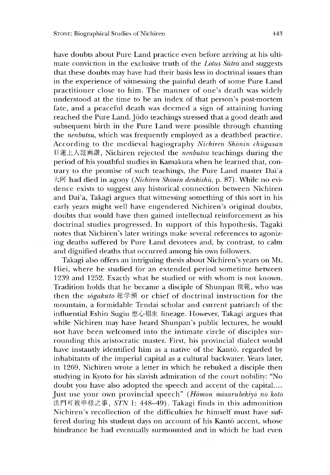have doubts about Pure Land practice even before arriving at his ultimate conviction in the exclusive truth of the *Lotus Sutra* and suggests that these doubts may have had their basis less in doctrinal issues than in the experience of witnessing the painful death of some Pure Land practitioner close to him. The manner of one's death was widely understood at the time to be an index of that person's post-mortem fate, and a peaceful death was deemed a sign of attaining having reached the Pure Land. Jodo teachings stressed that a good death and subsequent birth in the Pure Land were possible through chanting the *nenbutsu,* which was frequently employed as a deathbed practice. According to the medieval hagiography *Nichiren Shōnin chūgasan* 日蓮上人註画讃,Nichiren rejected the *nenbutsu* teachings during the period of his youthful studies in Kamakura when he learned that, contrary to the promise of such teachings, the Pure Land master Dai7a 大阿 had died in agony *(Nichiren Shōnin denkishū*, p. 87). While no evidence exists to suggest any historical connection between Nichiren and Dai'a, Takagi argues that witnessing something of this sort in his early years might well have engendered Nichiren's original doubts, doubts that would have then gained intellectual reinforcement as his doctrinal studies progressed. In support of this hypothesis, Tagaki notes that Nichiren's later writings make several references to agonizine deaths suffered by Pure Land devotees and, by contrast, to calm and dignified deaths that occurred among his own followers.

Takagi also offers an intriguing thesis about Nichiren's years on Mt. Hiei, where he studied for an extended period sometime between 1239 and 1252. Exactly what he studied or with whom is not known. Tradition holds that he became a disciple of Shunpan 俊範, who was then the *sogakuto* 総学頭 or chief of doctrinal instruction for the mountain, a formidable Tendai scholar and current patriarch of the influential Eshin Sugiu 恵心椙生 lineage. However, Takagi argues that while Nichiren may have heard Shunpan's public lectures, he would not have been welcomed into the intimate circle of disciples surrounding this aristocratic master. First, his provincial dialect would have instantly identified him as a native of the Kanto, regarded by inhabitants of the imperial capital as a cultural backwater. Years later, in 1269, Nichiren wrote a letter in which he rebuked a disciple then studying in Kyoto for his slavish admiration of the court nobility: "No doubt you have also adopted the speech and accent of the capital.... Just use your own provincial speech" *(Homon mdsarubekiyd no koto* 法門可被申様之事, STN 1: 448-49). Takagi finds in this admonition Nichiren's recollection of the difficulties he himself must have suffered during his student days on account of his Kantō accent, whose hindrance he had eventually surmounted and in which he had even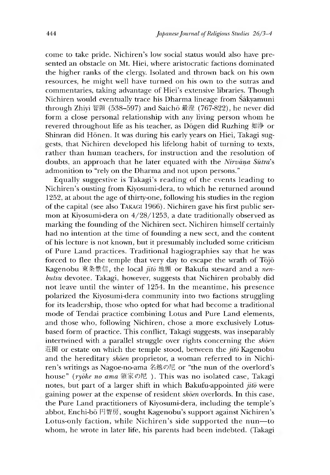come to take pride. Nichiren's low social status would also have presented an obstacle on Mt. Hiei, where aristocratic factions dominated the higher ranks of the clergy. Isolated and thrown back on his own resources, he might well have turned on his own to the sutras and commentaries, taking advantage of Hiei's extensive libraries. Though Nichiren would eventually trace his Dharma lineage from Sakyamuni through Zhiyi 智顗 (538-597) and Saicho 最澄 (767-822), he never did form a close personal relationship with any living person whom he revered throughout life as his teacher, as Dōgen did Ruzhing 如浄 or Shinran did Hōnen. It was during his early years on Hiei, Takagi suggests, that Nichiren developed his lifelong- habit of turning to texts, rather than human teachers, for instruction and the resolution of doubts, an approach that he later equated with the *Nirvana Sutra's* admonition to "rely on the Dharma and not upon persons."

Equally suggestive is Takagi's reading of the events leading to Nichiren's ousting from Kiyosumi-dera, to which he returned around 1252, at about the age of thirty-one, following his studies in the region of the capital (see also TAKAGI 1966). Nichiren gave his first public sermon at Kiyosumi-dera on  $4/28/1253$ , a date traditionally observed as marking the founding of the Nichiren sect. Nichiren himself certainly had no intention at the time of founding a new sect, and the content of his lecture is not known, but it presumably included some criticism of Pure Land practices. Traditional hagiographies say that he was forced to flee the temple that very day to escape the wrath of Tojo Kagenobu 東条景信, the local *jito* 地頭 or Bakufu steward and a *nenbutsu* devotee. Takagi, however, suggests that Nichiren probably did not leave until the winter of 1254. In the meantime, his presence polarized the Kiyosumi-dera community into two factions struggling for its leadership, those who opted for what had become a traditional mode of Tendai practice combining Lotus and Pure Land elements, and those who, following Nichiren, chose a more exclusively Lotusbased form of practice. This conflict, Takagi suggests, was inseparably intertwined with a parallel struggle over rights concerning the *shoen* 壮園 or estate on which the temple stood,between the *jito* Kagenobu and the hereditary *shoen* proprietor, a woman referred to in Nicniren's writings as Nagoe-no-ama 名越の尼 or "the nun of the overlord's house" *(ryoke no ama* 領家の尼). This was no isolated case, Takagi notes, but part of a larger shift in which Bakufu-appointed *jito* were eainine power at the expense of resident *shoen* overlords. In this case, the Pure Land practitioners of Kiyosumi-dera, including the temple's abbot, Enchi-bō 円智房, sought Kagenobu's support against Nichiren's Lotus-only faction, while Nichiren's side supported the nun— to whom, he wrote in later life, his parents had been indebted. (Takagi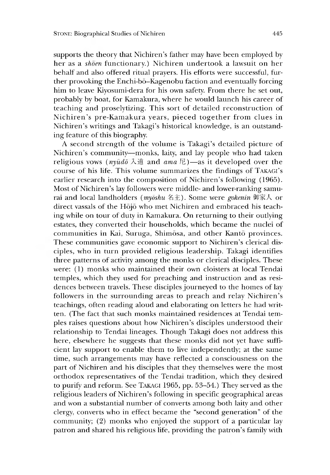supports the theory that Nichiren's father may have been employed by her as a *shoen* functionary.) Nichiren undertook a lawsuit on her behalf and also offered ritual prayers. His efforts were successful, further provoking the Enchi-bō-Kagenobu faction and eventually forcing him to leave Kiyosumi-dera for his own safety. From there he set out, probably by boat, for Kamakura, where he would launch his career of teaching and proselytizing. Ihis sort of detailed reconstruction of Nichiren's pre-Kamakura years, pieced together from clues in Nichiren's writings and Takagi's historical knowledge, is an outstanding feature of this biography.

A second strength of the volume is Takagi's detailed picture of Nichiren's community—monks, laity, and lay people who had taken religious vows  $(n\gamma u d\bar{o} \lambda)$  and  $a m\bar{a} \mathbb{E}$ ) —as it developed over the course of his life. This volume summarizes the findings of TAKAGI's earlier research into the composition of Nichiren's following (1965). Most of Nichiren's lay followers were middle- and lower-ranking samurai and local landholders (myoshu 名主). Some were *gokenin* 御家人 or direct vassals of the Hōjō who met Nichiren and embraced his teaching while on tour of duty in Kamakura. On returning to their outlying estates, they converted their households, which became the nuclei of communities in Kai, Suruga, Shimosa, and other Kanto provinces. Ihese communities gave economic support to Nichiren's clerical disciples, who in turn provided religious leadership. Takagi identifies three patterns of activity among the monks or clerical disciples. These were: (1) monks who maintained their own cloisters at local Tendai temples, which they used for preaching and instruction and as residences between travels. These disciples journeyed to the homes of lay followers in the surrounding areas to preach and relay Nichiren's teachings, often reading aloud and elaborating on letters he had written. (The fact that such monks maintained residences at Tendai temples raises questions about how Nichiren's disciples understood their relationship to Tendai lineages. Though Takaei does not address this here, elsewhere he suggests that these monks did not yet have sufficient lay support to enable them to live independently; at the same time, such arrangements may have reflected a consciousness on the part of Nichiren and his disciples that they themselves were the most orthodox representatives of the Tendai tradition, which they desired to purify and reform. See Takagi 1965 pp. 53-54.) They served as the religious leaders of Nichiren's following in specific geographical areas and won a substantial number of converts amone both laity and other clergy, converts who in effect became the "second generation" of the community; (2) monks who enjoyed the support of a particular lay patron and shared his religious life, providing the patron's family with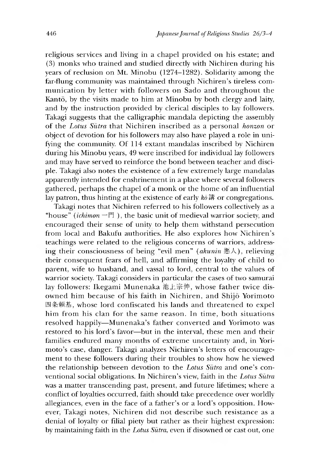religious services and living in a chapel provided on his estate; and (3) monks who trained and studied directly with Nichiren during his years of reclusion on Mt. Minobu (1274-1282). Solidarity among the far-flung community was maintained through Nichiren's tireless communication by letter with followers on Sado and throughout the Kanto, by the visits made to him at Minobu by both clergy and laity, and by the instruction provided by clerical disciples to lay followers. Takagi suggests that the calligraphic mandala depicting the assembly of the *Lotus Sutra* that Nichiren inscribed as a personal *horizon* or object of devotion for his followers may also have played a role in unifying the community. Of 114 extant mandalas inscribed by Nichiren during his Minobu years, 49 were inscribed for individual lay followers and may have served to reinforce the bond between teacher and disciple. Takagi also notes the existence of a few extremely large mandalas apparently intended for enshrinement in a place where several followers gathered, perhaps the chapel of a monk or the home of an influential lay patron, thus hinting at the existence of early  $k\bar{\sigma}$   $\ddot{\mathbf{r}}$  or congregations.

Takagi notes that Nichiren referred to his followers collectively as a "house" *(ichimon* 一門), the basic unit of medieval warrior society, and encouraged their sense of unity to help them withstand persecution from local and Bakufu authorities. He also explores how Nichiren's teachings were related to the religious concerns of warriors, addressing their consciousness of being "evil men" (akunin 悪人), relieving their consequent fears of hell, and affirming the loyalty of child to parent, wife to husband, and vassal to lord, central to the values of warrior society. Takagi considers in particular the cases of two samurai lay followers: Ikegami Munenaka 池上宗仲, whose father twice disowned him because of his faith in Nichiren, and Shijō Yorimoto 四条頼基,whose lord confiscated his lands and threatened to expel him from his clan for the same reason. In time, both situations resolved happily—Munenaka's father converted and Yorimoto was restored to his lord's favor—but in the interval, these men and their families endured many months of extreme uncertainty and, in Yorimoto's case, danger. Takagi analyzes Nichiren's letters of encouragement to these followers during their troubles to show how he viewed the relationship between devotion to the *Lotus Sutra* and one's conventional social obligations. In Nichiren's view, faith in the *Lotus Sutra* was a matter transcending past, present, and future lifetimes; where a conflict of loyalties occurred, faith should take precedence over worldly allegiances, even in the face of a father's or a lord's opposition. However, Takaei notes, Nichiren did not describe such resistance as a denial of loyalty or filial piety but rather as their highest expression: by maintaining faith in the *Lotus Sutra,* even if disowned or cast out, one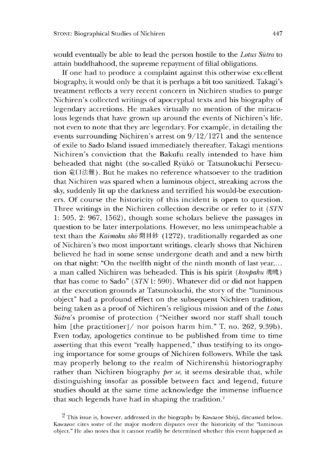would eventually be able to lead the person hostile to the *Lotus Sutra* to attain buddhahood, the supreme repayment of filial obligations.

If one had to produce a complaint against this otherwise excellent biography, it would only be that it is perhaps a bit too sanitized. Takagi's treatment reflects a very recent concern in Nichiren studies to purge Nichiren's collected writings of apocryphal texts and his biography of legendary accretions. He makes virtually no mention of the miraculous legends that have grown up around the events of Nichiren's life, not even to note that they are legendary. For example, in detailing the events surrounding Nichiren's arrest on  $9/12/1271$  and the sentence of exile to Sado Island issued immediately thereafter, Takagi mentions Nichiren's conviction that the Bakufu really intended to have him beheaded that night (the so-called Ryūko or Tatsunokuchi Persecution 竜口法難). But he makes no reference whatsoever to the tradition that Nichiren was spared when a luminous object, streaking across the sky, suddenly lit up the darkness and terrified his would-be executioners. Of course the historicity of this incident is open to question. Three writings in the Nichiren collection describe or refer to it *(STN* 1: 505, 2:  $967$ , 1562), though some scholars believe the passages in question to be later interpolations. However, no less unimpeachable a text than the *Kaimoku* sho 開目鈔 (1272), traditionally regarded as one of Nichiren's two most important writings, clearly shows that Nichiren believed he had in some sense undergone death and and a new birth on that night: "On the twelfth night of the ninth month of last year,... a man called Nichiren was beheaded. This is his spirit *(konpaku* 魂魄) that has come to Sado" *(STN1:* 590). Whatever did or did not happen at the execution grounds at Tatsunokuchi, the story of the "luminous" object" had a profound effect on the subsequent Nichiren tradition, being taken as a proof of Nichiren's religious mission and of the *Lotus Sutra's* promise of protection ("Neither sword nor staff shall touch him [the practitioner]/ nor poison harm him." T. no. 262, 9.39b). Even today, apologetics continue to be published from time to time asserting that this event "really happened," thus testifying to its ongoing importance for some groups of Nichiren followers. While the task may properly belong to the realm of Nichirenshu historiography rather than Nichiren biography *per se*, it seems desirable that, while distinguishing insofar as possible between fact and legend, future studies should at the same time acknowledge the immense influence that such legends have had in shaping the tradition.<sup>2</sup>

<sup>&</sup>lt;sup>2</sup> This issue is, however, addressed in the biography by Kawazoe Shoji, discussed below. Kawazoe cites some of the major modern disputes over the historicity of the "luminous object." He also notes that it cannot readily be determined whether this event happened as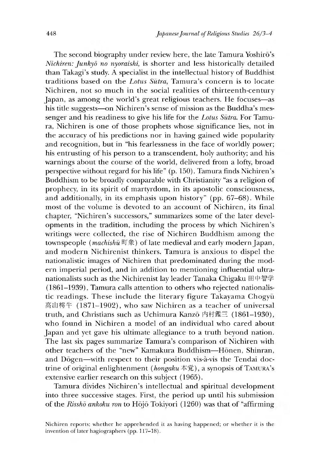The second biography under review here, the late Tamura Yoshirō's *Nichiren: Junkyd no nyoraishi,* is shorter and less historically detailed than Takagi's study. A specialist in the intellectual history of Buddhist traditions based on the *Lotus Sutra*, Tamura's concern is to locate Nichiren, not so much in the social realities of thirteenth-century Japan, as among the world's great religious teachers. He focuses—as his title suggests—on Nichiren's sense of mission as the Buddha's messenger and his readiness to give his life for the *Lotus Sutra.* For Tamura, Nichiren is one of those prophets whose significance lies, not in the accuracy of his predictions nor in having gained wide popularity and recognition, but in "his fearlessness in the face of worldly power; his entrusting of his person to a transcendent, holy authority; and his warnings about the course of the world, delivered from a lofty, broad perspective without regard for his life" (p. 150). Tamura finds Nichiren's Buddhism to be broadly comparable with Christianity "as a religion of prophecy, in its spirit of martyrdom, in its apostolic consciousness, and additionally, in its emphasis upon history" (pp. 67-68). While most of the volume is devoted to an account of Nichiren, its final chapter, "Nichiren's successors," summarizes some of the later developments in the tradition, including the process by which Nichiren's writings were collected, the rise of Nichiren Buddhism among the townspeople *(machishu* 町衆) of late medieval and early modern Japan, and modern Nichirenist thinkers. Tamura is anxious to dispel the nationalistic images of Nichiren that predominated during the modern imperial period, and in addition to mentioning influential ultranationalists such as the Nichirenist lay leader Tanaka Chigaku 田中智学 (1861-1939), Tamura calls attention to others who rejected nationalistic readings. These include the literary figure Takayama Chogyū 高山樗牛 (1871-1902), who saw Nichiren as a teacher of universal truth, and Christians such as Uchimura Kanzō 内村鑑三 (1861-1930), who found in Nichiren a model of an individual who cared about Japan and yet gave his ultimate allegiance to a truth beyond nation. The last six pages summarize Tamura's comparison of Nichiren with other teachers of the "new" Kamakura Buddnism—Honen, Shinran, and Dogen-with respect to their position vis-à-vis the Tendai doctrine of original enlightenment *[hongaku 本龍*、, a synopsis of Tamura's extensive earlier research on this subject (1965).

Tamura divides Nichiren's intellectual and spiritual development into three successive stages. First, the period up until his submission of the *Rissho ankoku ron* to Hojo Tokiyori (1260) was that of ''affirming

Nichiren reports; whether he apprehended it as having happened; or whether it is the invention of later hagiographers (pp. 117-18).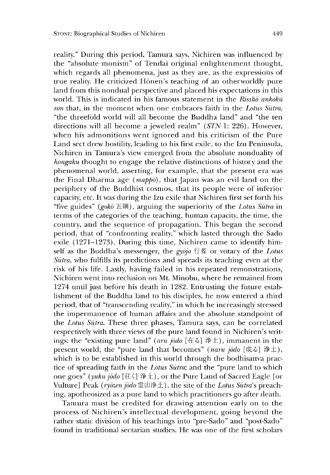reality." During this period, Tamura says, Nichiren was influenced by the "absolute monism" of Tendai original enlightenment thought, which regards all phenomena, just as they are, as the expressions of true reality. He criticized Hōnen's teaching of an otherworldly pure land from this nondual perspective and placed his expectations in this world. This is indicated in his famous statement in the *Rissho ankoku ron* that, in the moment when one embraces faith in the *Lotus Sutra,* "the threefold world will all become the Buddha land" and "the ten directions will all become a jeweled realm" *(STN 1: 226)*. However, when his admonitions went ignored and his criticism of the Pure Land sect drew hostility, leading to his first exile, to the Izu Peninsula, Nichiren in Tamura's view emerged from the absolute nonduality of *hongaku* thought to engage the relative distinctions of history and the phenomenal world, asserting, for example, that the present era was the Final Dharma age (*mappo*), that Japan was an evil land on the periphery of the Buddhist cosmos, that its people were of inferior capacity, etc. It was during the Izu exile that Nichiren first set forth his "five guides" *(goko* 五綱),arguing the superiority of the *Lotus Sutra* in terms of the categories of the teaching, human capacity, the time, the country, and the sequence of propagation. Ihis began the second period, that of "confronting reality," which lasted through the Sado exile (1271-1273). During this time, Nichiren came to identify himself as the Buddha's messenger, the *gydja* 行者 or votary of the *Lotus Sutra,* who fulfills its predictions and spreads its teaching even at the risk of his life. Lastly, having failed in his repeated remonstrations, Nichiren went into reclusion on Mt. Minobu, where he remained from 1274 until just before his death in 1282. Entrusting the future establishment of the Buddha land to his disciples, he now entered a third period, that of "transcending reality," in which he increasingly stressed the impermanence of human affairs and the absolute standpoint of the *Lotus Sutra.* These three phases, Tamura says, can be correlated respectively with three views of the pure land found in Nichiren's writings: the "existine pure land" *(aru jodo* [在る] 浄土),immanent in the present world; the "pure land that becomes" *(naru jodo* [成る] 浄土), which is to be established in this world through the bodhisattva practice of spreading faith in the *Lotus Sutra;* and the "pure land to which one goes" *(yuku jodo* [往く] 浄土),or the Pure Land of Sacred Eagle [or Vulture] Peak (ryōzen jōdo 霊山浄土), the site of the *Lotus Sūtra's* preaching, apotheosized as a pure land to which practitioners go after death.

Tamura must be credited for drawing attention early on to the process of Nichiren's intellectual development, going beyond the rather static division of his teachings into "pre-Sado" and "post-Sado" found in traditional sectarian studies. He was one of the first scholars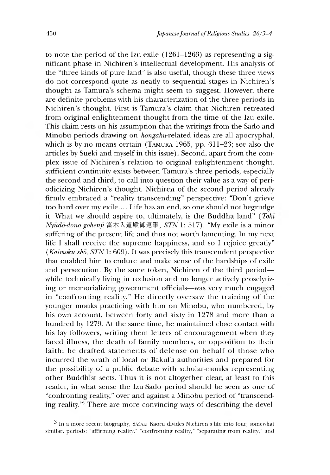to note the period of the Izu exile (1261-1263) as representing a significant phase in Nichiren's intellectual development. His analysis of the "three kinds of pure land" is also useful, though these three views do not correspond quite as neatly to sequential stages in Nichiren's thought as Tamura's schema might seem to suggest. However, there are definite problems with his characterization of the three periods in Nichiren's thought. First is Tamura's claim that Nichiren retreated from original enlightenment thought from the time of the Izu exile. This claim rests on his assumption that the writings from the Sado and Minobu periods drawing on *hongaku*-related ideas are all apocryphal, which is by no means certain (TAMURA 1965, pp.  $611-23$ ; see also the articles by Sueki and myself in this issue). Second, apart from the complex issue of Nichiren's relation to original enlightenment thought, sufficient continuity exists between Tamura's three periods, especially the second and third, to call into question their value as a way of periodicizing Nichiren's thought. Nichiren of the second period already firmly embraced a "reality transcending" perspective: "Don't grieve too hard over my exile.... Life has an end, so one should not begrudge it. What we should aspire to, ultimately, is the Buddha land" *(Toki Nyudd-dono gohenji* 富木入道殿御返事*,STN* 1:517). "My exile is a minor suffering of the present life and thus not worth lamenting. In my next life I shall receive the supreme happiness, and so I rejoice greatly" *(Kaimoku shō, STN1: 609)*. It was precisely this transcendent perspective that enabled him to endure and make sense of the hardships of exile and persecution. By the same token, Nichiren of the third period while technically living in reclusion and no longer actively proselytizing or memorializing government officials—was very much engaged in "confronting reality." He directly oversaw the training of the younger monks practicing with him on Minobu, who numbered, by his own account, between forty and sixty in 1278 and more than a hundred by 1279. At the same time, he maintained close contact with his lay followers, writing them letters of encouragement when they faced illness, the death of family members, or opposition to their faith; he drafted statements of defense on behalf of those who incurred the wrath of local or Bakufu authorities and prepared for the possibility of a public debate with scholar-monks representing other Buddnist sects. Thus it is not altogether clear, at least to this reader, in what sense the Izu-Sado period should be seen as one of "confronting reality," over and against a Minobu period of "transcending reality."<sup>3</sup> There are more convincing ways of describing the devel-

 $3$  In a more recent biography, SASAKI Kaoru divides Nichiren's life into four, somewhat similar, periods: "affirming reality," "confronting reality," "separating from reality," and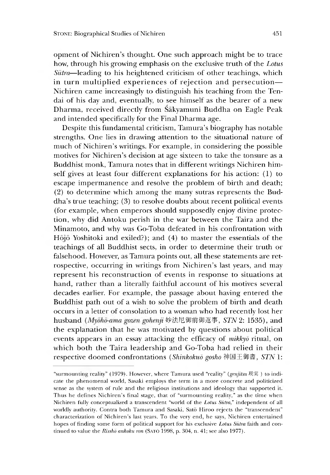opment of Nichiren's thought. One such approach might be to trace how, through his growing emphasis on the exclusive truth of the *Lotus Sutra*~leading to his heightened criticism of other teachings, which in turn multiplied experiences of rejection and persecution-Nichiren came increasingly to distinguish his teaching from the Tendai of his day and, eventually, to see himself as the bearer of a new Dharma, received directly from Sakyamuni Buddha on Eagle Peak and intended specifically for the Final Dharma age.

Despite this fundamental criticism, Tamura's biography has notable strengths. One lies in drawing attention to the situational nature of much of Nichiren's writings. For example, in considering the possible motives for Nichiren's decision at age sixteen to take the tonsure as a Buddhist monk, Tamura notes that in different writings Nichiren himself gives at least four different explanations for his action: (1) to escape impermanence and resolve the problem of birth and death; (2) to determine which among the many sutras represents the Buddha's true teaching;  $(3)$  to resolve doubts about recent political events (for example, when emperors should supposedly enjoy divine protection, why did Antoku perish in the war between the Taira and the Minamoto, and why was Go-Toba defeated in his confrontation with Hōjō Yoshitoki and exiled?); and (4) to master the essentials of the teachings of all Buddhist sects, in order to determine their truth or falsehood. However, as Tamura points out, all these statements are retrospective, occurring in writings from Nichiren's last years, and may represent his reconstruction of events in response to situations at hand, rather than a literally faithful account of his motives several decades earlier. For example, the passage about having entered the Buddhist path out of a wish to solve the problem of birth and death occurs in a letter of consolation to a woman who had recently lost her husband (Myōhō-ama gozen gohenji 妙法尼御前御返事, STN 2: 1535), and the explanation that he was motivated by questions about political events appears in an essay attacking the efficacy of *mikkyd* ritual, on which both the Taira leadership and Go-Toba had relied in their respective doomed confrontations *(Shinkokuō gosho* 神国王御書, *STN* 1:

<sup>&</sup>quot;surmounting reality" (1979). However, where Tamura used "reality" *(genjitsu* 現実) to indicate the phenomenal world, Sasaki employs the term in a more concrete and politicized sense as the system of rule and the religious institutions and ideology that supported it. Thus he defines Nichiren's final stage, that of "surmounting reality," as the time when Nichiren fully conceptualized a transcendent "world of the *Lotus Sutra*," independent of all worldly authority. Contra both Tamura and Sasaki, Sato Hiroo rejects the "transcendent" characterization of Nichiren's last years. To the very end, he says, Nichiren entertained hopes of finding some form of political support for his exclusive *Lotus Sutra* faith and continued to value the *Rissho ankoku ron* (SATO 1998, p. 304, n. 41; see also 1977).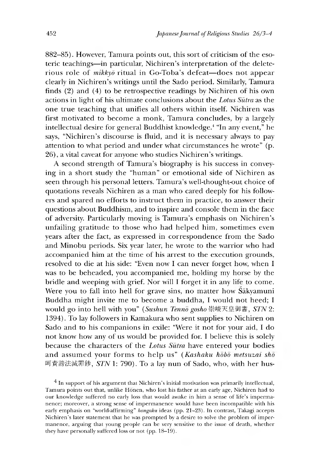882-85). However, Tamura points out, this sort of criticism of the esoteric teachings—in particular, Nichiren's interpretation of the deleterious role of *mikkyo* ritual in Go-Toba's defeat—does not appear clearly in Nichiren's writings until the Sado period. Similarly,Tamura finds  $(2)$  and  $(4)$  to be retrospective readings by Nichiren of his own actions in light of his ultimate conclusions about the *Lotus Sutra* as the one true teaching that unifies all others within itself. Nichiren was first motivated to become a monk, Tamura concludes, by a largely intellectual desire for general Buddhist knowledge.4 "In any event," he says, "Nichiren's discourse is fluid, and it is necessary always to pay attention to what period and under what circumstances he wrote" (p. 26),a vital caveat for anyone who studies Nichiren's writings.

A second strength of Tamura's biography is his success in conveying in a short study the "human" or emotional side of Nichiren as seen through his personal letters. Tamura's well-thought-out choice of quotations reveals Nichiren as a man who cared deeply for his followers and spared no efforts to instruct them in practice, to answer their questions about Buddhism, and to inspire and console them in the face of adversity. Particularly moving is Tamura's emphasis on Nichiren's unfailing gratitude to those who had helped him, sometimes even years after the fact, as expressed in correspondence from the Sado and Minobu periods. Six year later, he wrote to the warrior who had accompanied him at the time of his arrest to the execution grounds, resolved to die at his side: "Even now I can never forget how, when I was to be beheaded, you accompanied me, holding my horse by the bridle and weeping with grief. Nor will I forget it in any life to come. Were you to fall into hell for grave sins, no matter how Sakyamuni Buddha might invite me to become a buddha, I would not heed; I would go into hell with you" *(Sushun Tenno gosho* 崇峻天皇御書*,STN* 2: 1394). To lay followers in Kamakura who sent supplies to Nichiren on Sado and to his companions in exile: "Were it not for your aid, I do not know how any of us would be provided for. I believe this is solely because the characters of the *Lotus Sutra* have entered your bodies and assumed your forms to help us" *(Kashaku hobo metsuzai sho* 呵責誇法滅罪鈔*,STN* 1:790). To a lay nun of Sado, who, with her hus-

 $<sup>4</sup>$  In support of his argument that Nichiren's initial motivation was primarily intellectual,</sup> Tamura points out that, unlike Honen, who lost his father at an early age, Nichiren had to our knowledge suffered no early loss that would awake in him a sense of life's impermanence; moreover, a strong sense of impermanence would have been incompatible with his early emphasis on "world-affirming" *hongaku* ideas (pp. 21-23). In contrast, Takagi accepts Nichiren's later statement that he was prompted by a desire to solve the problem of impermanence, arguing that young people can be very sensitive to the issue of death, whether they have personally suffered loss or not (pp. 18-19).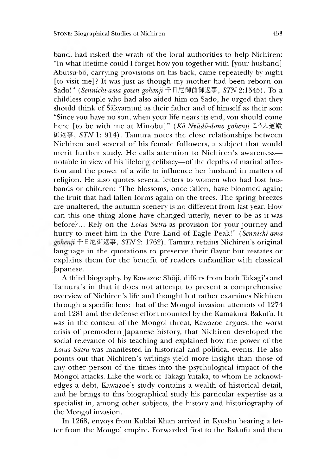band, had risked the wrath of the local authorities to help Nichiren: "In what lifetime could I forget how you together with [your husband] Abutsu-bo, carrying provisions on his back, came repeatedly by night [to visit me]? It was just as though my mother had been reborn on Sado!" *{Sennichi-ama gozen gohenji* 千日尼御前御返事*,STN* 2:1545). To a childless couple who had also aided him on Sado, he urged that they should think of Sakyamuni as their father and of himself as their son: "Since you have no son, when your life nears its end, you should come here [to be with me at Minobu]" (Kō Nyūdō-dono gohenji こう人道殿 御返事, STN 1: 914). Tamura notes the close relationships between Nichiren and several of his female followers, a subject that would merit further study. He calls attention to Nichiren's awarenessnotable in view of his lifelong celibacy—of the depths of marital affection and the power of a wile to influence her husband in matters of religion. He also quotes several letters to women who had lost husbands or children: "The blossoms, once fallen, have bloomed again; the fruit that had fallen forms again on the trees. The spring breezes are unaltered, the autumn scenery is no different from last year. How can this one thine alone have chaneed utterly, never to be as it was before?... Rely on the *Lotus Sutra* as provision for your journey and hurry to meet him in the Pure Land of Eagle Peak!" (*Sennichi-ama* gohenji 千日尼御返事, STN 2: 1762). Tamura retains Nichiren's original language in the quotations to preserve their flavor but restates or explains them for the benefit of readers unfamiliar with classical Japanese.

A third biography, by Kawazoe Shōji, differs from both Takagi's and Tamura's in that it does not attempt to present a comprehensive overview of Nichiren's life and thought but rather examines Nichiren through a specific lens: that of the Mongol invasion attempts of 1274 and 1281 and the defense effort mounted by the Kamakura Bakufu. It was in the context of the Mongol threat, Kawazoe argues, the worst crisis of premodern Japanese history, that Nichiren developed the social relevance of his teaching and explained how the power of the *Lotus Sutra* was manifested in historical and political events. He also points out that Nichiren's writings yield more insight than those of any other person of the times into the psychological impact of the Mongol attacks. Like the work of Takagi Yutaka, to whom he acknowledges a debt, Kawazoe's study contains a wealth of historical detail, and he brings to this biographical study his particular expertise as a specialist in, among other subjects, the history and historiography of the Mongol invasion.

In 1268, envoys from Kublai Khan arrived in Kyushu bearing a letter from the Mongol empire. Forwarded first to the Bakufu and then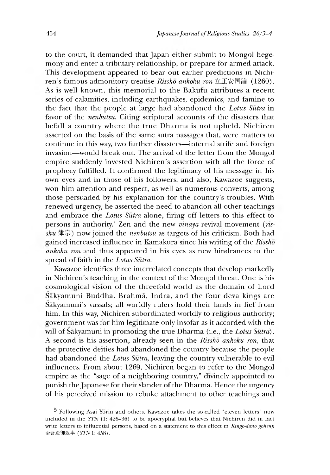to the court, it demanded that Japan either submit to Mongol hegemony and enter a tributary relationship, or prepare for armed attack. Ihis development appeared to bear out earlier predictions in Nichiren's famous admonitory treatise *Rissho ankoku ron* 立正安国論(1260). As is well known, this memorial to the Bakufu attributes a recent series of calamities, including earthquakes, epidemics, and famine to the fact that the people at large had abandoned the *Lotus Sutra* in favor of the *nenbutsu.* Citing scriptural accounts of the disasters that befall a country where the true Dharma is not upheld, Nichiren asserted on the basis of the same sutra passages that, were matters to continue in this way, two further disasters—internal strife and foreign invasion—would break out. The arrival of the letter from the Mongol empire suddenly invested Nichiren's assertion with all the force of prophecy fulfilled. It confirmed the legitimacy of his message in his own eyes and in those of his followers, and also, Kawazoe suggests, won him attention and respect, as well as numerous converts, among those persuaded by his explanation for the country's troubles. With renewed urgency, he asserted the need to abandon all other teachings and embrace the *Lotus Sutra* alone, firing off letters to this effect to persons in authority.<sup>5</sup> Zen and the new *vinaya* revival movement (*rissM 律宗*) now joined the *nenbutsu* as targets of his criticism. Both had gained increased influence in Kamakura since his writing of the *Rissho ankoku ron* and thus appeared in his eyes as new hindrances to the spread of faith in the *Lotus Sūtra*.

Kawazoe identifies three interrelated concepts that develop markedly in Nichiren's teaching in the context of the Mongol threat. One is his cosmological vision of the threefold world as the domain of Lord Sakyamuni Buddha. Brahma, Indra, and the four deva kings are Sakyamuni's vassals; all worldly rulers hold their lands in fief from him. In this way, Nichiren subordinated worldly to religious authority; government was for him legitimate only insofar as it accorded with the will of Sakyamuni in promoting the true Dharma (i.e., the *Lotus Sutra).* A second is his assertion, already seen in the *Rissho ankoku ron,* that the protective deities had abandoned the country because the people had abandoned the *Lotus Sutra,* leaving the country vulnerable to evil influences. From about 1269, Nichiren began to refer to the Mongol empire as the "sage of a neighboring country," divinely appointed to punish the Japanese for their slander of the Dharma. Hence the urgency of his perceived mission to rebuke attachment to other teachings and

<sup>5</sup> Following Asai Yorin and others, Kawazoe takes the so-called "eleven letters" now included in the *STN* (1:426-36) to be apocryphal but believes that Nichiren did in fact write letters to influential persons, based on a statement to this effect in *Kingo-dono gohenji* 金吾殿御返事 (STN1:458).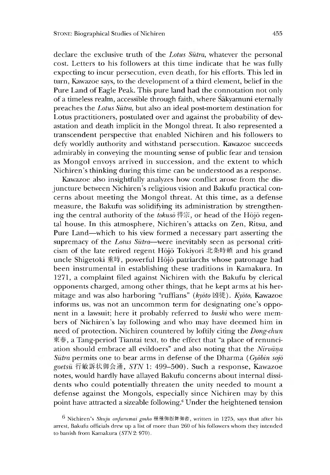declare the exclusive truth of the *Lotus Sutra,* whatever the personal cost. Letters to his followers at this time indicate that he was fully expecting to incur persecution, even death, for his efforts. This led in turn, Kawazoe says, to the development of a third element, belief in the Pure Land of Eagle Peak. This pure land had the connotation not only of a timeless realm, accessible through faith, where Sakyamuni eternally preaches the *Lotus Sutra,* but also an ideal post-mortem destination for Lotus practitioners, postulated over and against the probability of devastation and death implicit in the Mongol threat. It also represented a transcendent perspective that enabled Nichiren and his followers to defy worldly authority and withstand persecution. Kawazoe succeeds admirably in conveying the mounting sense of public fear and tension as Mongol envoys arrived in succession, and the extent to which Nichiren's thinking during this time can be understood as a response.

Kawazoe also insightfully analyzes how conflict arose from the disjuncture between Nichiren's religious vision and Bakufu practical concerns about meeting the Mongol threat. At this time, as a defense measure, the Bakufu was solidifying its administration by strengthening the central authority of the *tokuso* 得宗,or head of the Hojo regental house. In this atmosphere, Nichiren's attacks on Zen, Ritsu, and Pure Land—which to his view formed a necessary part asserting the supremacy of the *Lotus Sūtra*—were inevitably seen as personal criticism of the late retired regent Hōjō Tokiyori 北条時頼 and his grand uncle Shigetoki 重時, powerful Hōjō patriarchs whose patronage had been instrumental in establishing these traditions in Kamakura. In 1271, a complaint filed against Nichiren with the Bakufu by clerical opponents charged, among other things, that he kept arms at his hermitage and was also harboring "ruffians" *(kyoto* 凶徒). *Kyoto,* Kawazoe informs us, was not an uncommon term for designating one's opponent in a lawsuit; here it probably referred to *busm* who were members of Nichiren's lay following and who may have deemed him in need of protection. Nichiren countered by loftily citme the *Dong'-chun* 東春,a Tang-period Tiantai text, to the effect that "a place of renunciation should embrace all evildoers" and also noting that the *Nirvana Sutra* permits one to bear arms in defense of the Dharma *(Gydbin sojo* goetsu 行敏訴状御会通, STN 1: 499-500). Such a response, Kawazoe notes, would hardly have allayed Bakufu concerns about internal dissidents who could potentially threaten the unity needed to mount a defense against the Mongols, especially since Nichiren may by this point have attracted a sizeable following.6 Under the heightened tension

<sup>&</sup>lt;sup>6</sup> Nichiren's *Shuju onfurumai gosho* 種種御振舞御書, written in 1275, says that after his arrest, Bakufu officials drew up a list of more than 260 of his followers whom they intended to banish from Kamakura *(STN 2: 970)*.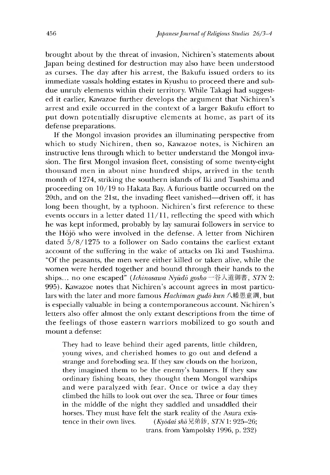brought about by the threat of invasion, Nichiren's statements about Japan being destined for destruction may also have been understood as curses. The day after his arrest, the Bakufu issued orders to its immediate vassals holding estates in Kyushu to proceed there and subdue unruly elements within their territory. While Takagi had suggested it earlier, Kawazoe further develops the argument that Nichiren's arrest and exile occurred in the context of a larger Bakufu effort to put down potentially disruptive elements at home, as part of its defense preparations.

If the Mongol invasion provides an illuminating perspective from which to study Nichiren, then so, Kawazoe notes, is Nichiren an instructive lens through which to better understand the Mongol invasion. The first Mongol invasion fleet, consisting of some twenty-eight thousand men in about nine hundred ships, arrived in the tenth month of 1274, striking the southern islands of Iki and Tsushima and proceeding on 10/19 to Hakata Bay. A furious battle occurred on the 20th, and on the 21st, the invading fleet vanished—driven off, it has long been thought, by a typhoon. Nichiren's first reference to these events occurs in a letter dated  $11/11$ , reflecting the speed with which he was kept informed, probably by lay samurai followers in service to the Hojo who were involved in the defense. A letter from Nichiren dated 5/8/1275 to a follower on Sado contains the earliest extant account of the suffering in the wake of attacks on Iki and Tsushima. "Of the peasants, the men were either killed or taken alive, while the women were herded together and bound through their hands to the ships... no one escaped" (Ichinosawa Nyūdō gosho 一谷入道御書, STN 2: 995). Kawazoe notes that Nichiren's account agrees in most particulars with the later and more famous *Hachiman gudō kun* 八幡愚童訓, but is especially valuable in being a contemporaneous account. Nichiren's letters also offer almost the only extant descriptions from the time of the feelings of those eastern warriors mobilized to go south and mount a defense:

They had to leave behind their aged parents, little children, young wives, and cherished homes to go out and defend a strange and foreboding sea. If they saw clouds on the horizon, they imagined them to be the enemy's banners. If they saw ordinary fishing boats, they thought them Mongol warships and were paralyzed with fear. Once or twice a day they climbed the hills to look out over the sea. Three or four times in the middle of the night they saddled and unsaddled their horses. They must have felt the stark reality of the Asura existence in their own lives. *(Kyōdai shō* 兄弟鈔, STN 1: 925-26; trans. from Yampolsky 1996, p. 232)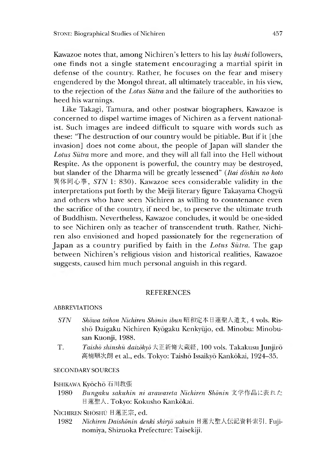Kawazoe notes that, among Nichiren's letters to his lay *bushi* followers, one finds not a single statement encouraging a martial spirit in defense of the country. Rather, he focuses on the fear and misery engendered by the Mongol threat, all ultimately traceable, in his view, to the rejection of the *Lotus Sutra* and the railure of the authorities to heed his warnings.

Like Takagi, Tamura, and other postwar biographers, Kawazoe is concerned to dispel wartime images of Nichiren as a fervent nationalist. Such images are indeed difficult to square with words such as these: "The destruction of our country would be pitiable. But if it [the invasion] does not come about, the people of Japan will slander the *Lotus Sutra* more and more, and they will all fall into the Hell without Respite. As the opponent is powerful, the country may be destroyed, but slander of the Dharma will be greatly lessened" *(Itai doshin no koto* 異体同心事*,STN* 1:830). Kawazoe sees considerable validity in the interpretations put forth by the Meiji literary figure Takayama Chogyū and others who have seen Nichiren as willing to countenance even the sacrifice of the country, if need be, to preserve the ultimate truth of Buddhism. Nevertheless, Kawazoe concludes, it would be one-sided to see Nichiren only as teacher of transcendent truth. Rather, Nichiren also envisioned and hoped passionately for the regeneration of Japan as a country purified by faith in the *Lotus Sutra.* The gap between Nichiren's religious vision and historical realities, Kawazoe suggests, caused him much personal anguish in this regard.

### REFERENCES

#### ABBREVIATIONS

- *STN Showa teihon Nichiren Shdnin ibun* 昭和定本日蓮聖人遺文,4 vols. Risshō Daigaku Nichiren Kyōgaku Kenkyūjo, ed. Minobu: Minobusan Kuonji, 1988.
- T. Taisho shinshu daizōkyō 大正新脩大蔵経, 100 vols. Takakusu Junjirō 高楠順次朗 et al., eds. Tokyo: Taishō Issaikyō Kankōkai, 1924-35.

#### SECONDARY SOURCES

ISHIKAWA Kyōchō 石川教張

1980 *Bungaku sakuhin ni arawareta Nichiren Shdnin* 文学作品に表れた 曰蓮聖人. Tokyo: Kokusho Kankokai.

NICHIREN SHOSHU 日蓮正宗, ed.

1982 *Nichiren Daishdnin denki shiryo sakuin* 日蓮大聖人伝記資料索引. Fujinomiya, Shizuoka Prefecture: Taisekiji.